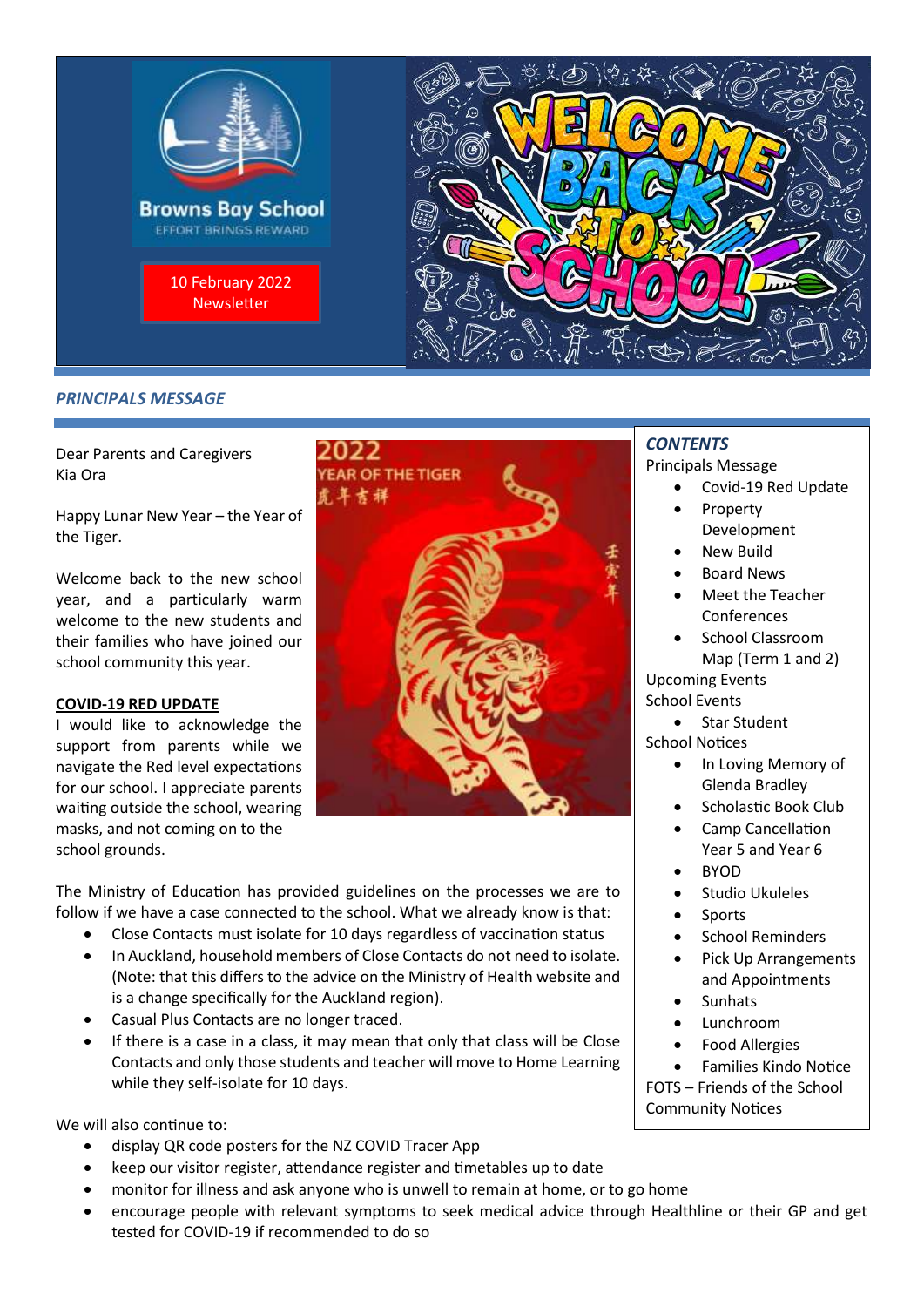

# **PRINCIPALS MESSAGE**

Dear Parents and Caregivers Kia Ora

Happy Lunar New Year – the Year of the Tiger.

Welcome back to the new school year, and a particularly warm welcome to the new students and their families who have joined our school community this year.

#### **COVID-19 RED UPDATE**

I would like to acknowledge the support from parents while we navigate the Red level expectations for our school. I appreciate parents waiting outside the school, wearing masks, and not coming on to the school grounds.



The Ministry of Education has provided guidelines on the processes we are to follow if we have a case connected to the school. What we already know is that:

- Close Contacts must isolate for 10 days regardless of vaccination status
- In Auckland, household members of Close Contacts do not need to isolate. (Note: that this differs to the advice on the Ministry of Health website and is a change specifically for the Auckland region).
- Casual Plus Contacts are no longer traced.
- If there is a case in a class, it may mean that only that class will be Close Contacts and only those students and teacher will move to Home Learning while they self-isolate for 10 days.

We will also continue to:

- display QR code posters for the NZ COVID Tracer App
- keep our visitor register, attendance register and timetables up to date
- monitor for illness and ask anyone who is unwell to remain at home, or to go home
- encourage people with relevant symptoms to seek medical advice through Healthline or their GP and get tested for COVID-19 if recommended to do so

# *CONTENTS*

Principals Message

- Covid-19 Red Update
- Property Development
- New Build
- Board News
- Meet the Teacher Conferences
- School Classroom Map (Term 1 and 2) Upcoming Events School Events
- Star Student School Notices
	- In Loving Memory of Glenda Bradley
		- Scholastic Book Club
	- Camp Cancellation Year 5 and Year 6
	- BYOD
	- Studio Ukuleles
	- **Sports**
	- School Reminders
	- Pick Up Arrangements and Appointments
	- **Sunhats**
	- Lunchroom
	- Food Allergies
- Families Kindo Notice FOTS – Friends of the School

Community Notices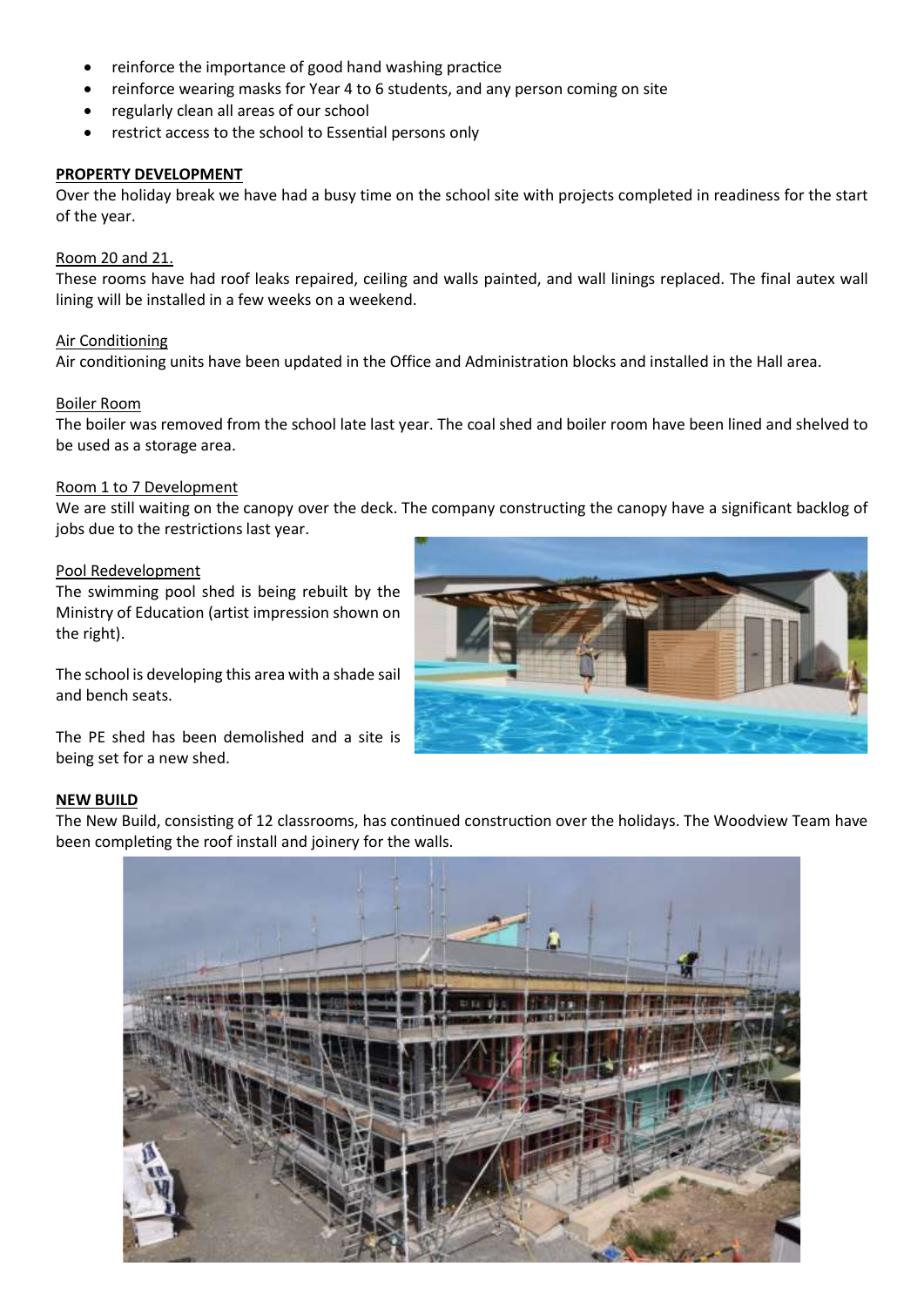- reinforce the importance of good hand washing practice
- reinforce wearing masks for Year 4 to 6 students, and any person coming on site
- regularly clean all areas of our school
- restrict access to the school to Essential persons only

#### **PROPERTY DEVELOPMENT**

Over the holiday break we have had a busy time on the school site with projects completed in readiness for the start of the year.

#### Room 20 and 21.

These rooms have had roof leaks repaired, ceiling and walls painted, and wall linings replaced. The final autex wall lining will be installed in a few weeks on a weekend.

#### Air Conditioning

Air conditioning units have been updated in the Office and Administration blocks and installed in the Hall area.

#### Boiler Room

The boiler was removed from the school late last year. The coal shed and boiler room have been lined and shelved to be used as a storage area.

#### Room 1 to 7 Development

We are still waiting on the canopy over the deck. The company constructing the canopy have a significant backlog of jobs due to the restrictions last year.

#### Pool Redevelopment

The swimming pool shed is being rebuilt by the Ministry of Education (artist impression shown on the right).

The school is developing this area with a shade sail and bench seats.

The PE shed has been demolished and a site is being set for a new shed.

#### **NEW BUILD**

The New Build, consisting of 12 classrooms, has continued construction over the holidays. The Woodview Team have been completing the roof install and joinery for the walls.



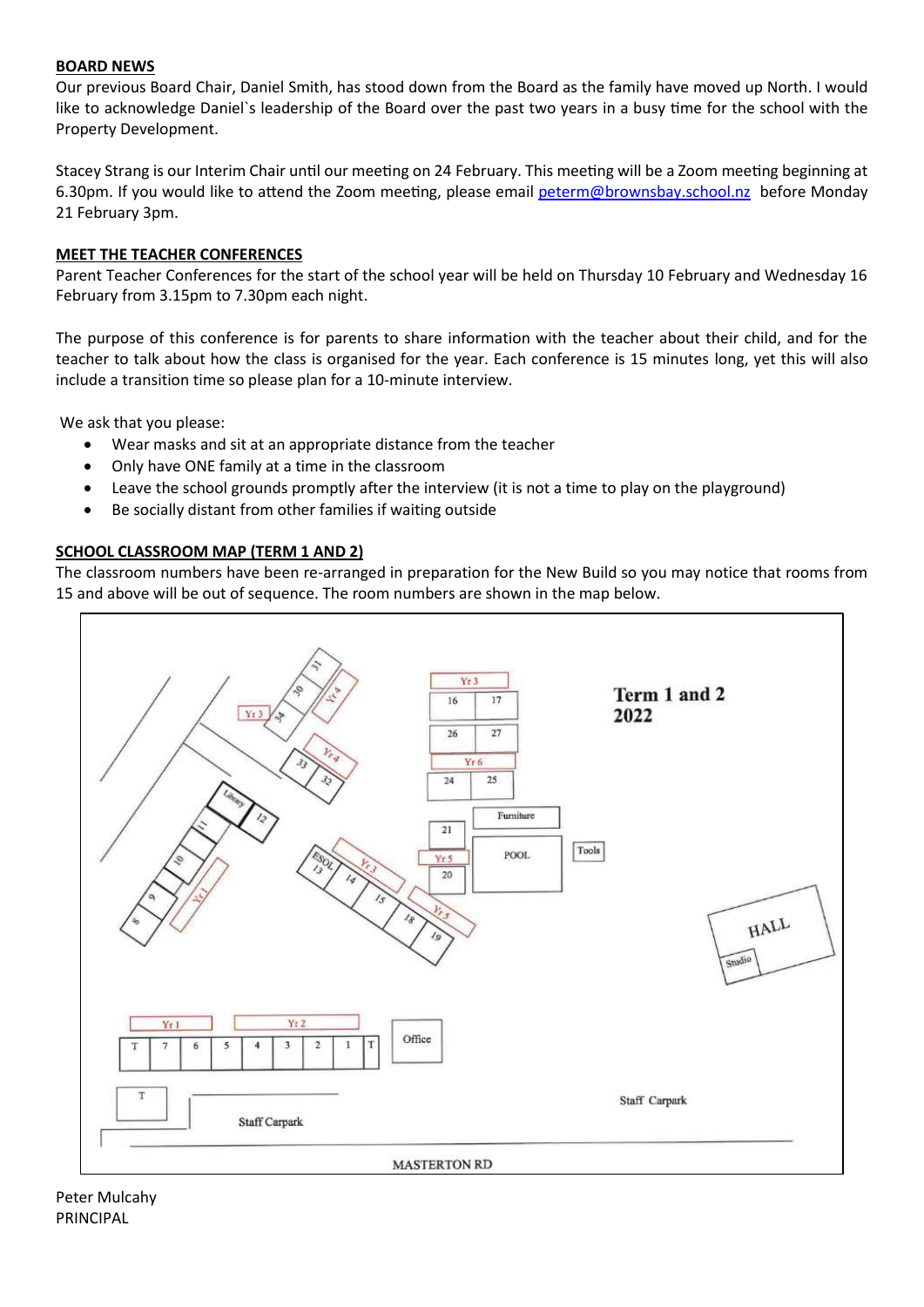## **BOARD NEWS**

Our previous Board Chair, Daniel Smith, has stood down from the Board as the family have moved up North. I would like to acknowledge Daniel`s leadership of the Board over the past two years in a busy time for the school with the Property Development.

Stacey Strang is our Interim Chair until our meeting on 24 February. This meeting will be a Zoom meeting beginning at 6.30pm. If you would like to attend the Zoom meeting, please email [peterm@brownsbay.school.nz](mailto:peterm@brownsbay.school.nz) before Monday 21 February 3pm.

#### **MEET THE TEACHER CONFERENCES**

Parent Teacher Conferences for the start of the school year will be held on Thursday 10 February and Wednesday 16 February from 3.15pm to 7.30pm each night.

The purpose of this conference is for parents to share information with the teacher about their child, and for the teacher to talk about how the class is organised for the year. Each conference is 15 minutes long, yet this will also include a transition time so please plan for a 10-minute interview.

We ask that you please:

- Wear masks and sit at an appropriate distance from the teacher
- Only have ONE family at a time in the classroom
- Leave the school grounds promptly after the interview (it is not a time to play on the playground)
- Be socially distant from other families if waiting outside

### **SCHOOL CLASSROOM MAP (TERM 1 AND 2)**

The classroom numbers have been re-arranged in preparation for the New Build so you may notice that rooms from 15 and above will be out of sequence. The room numbers are shown in the map below.

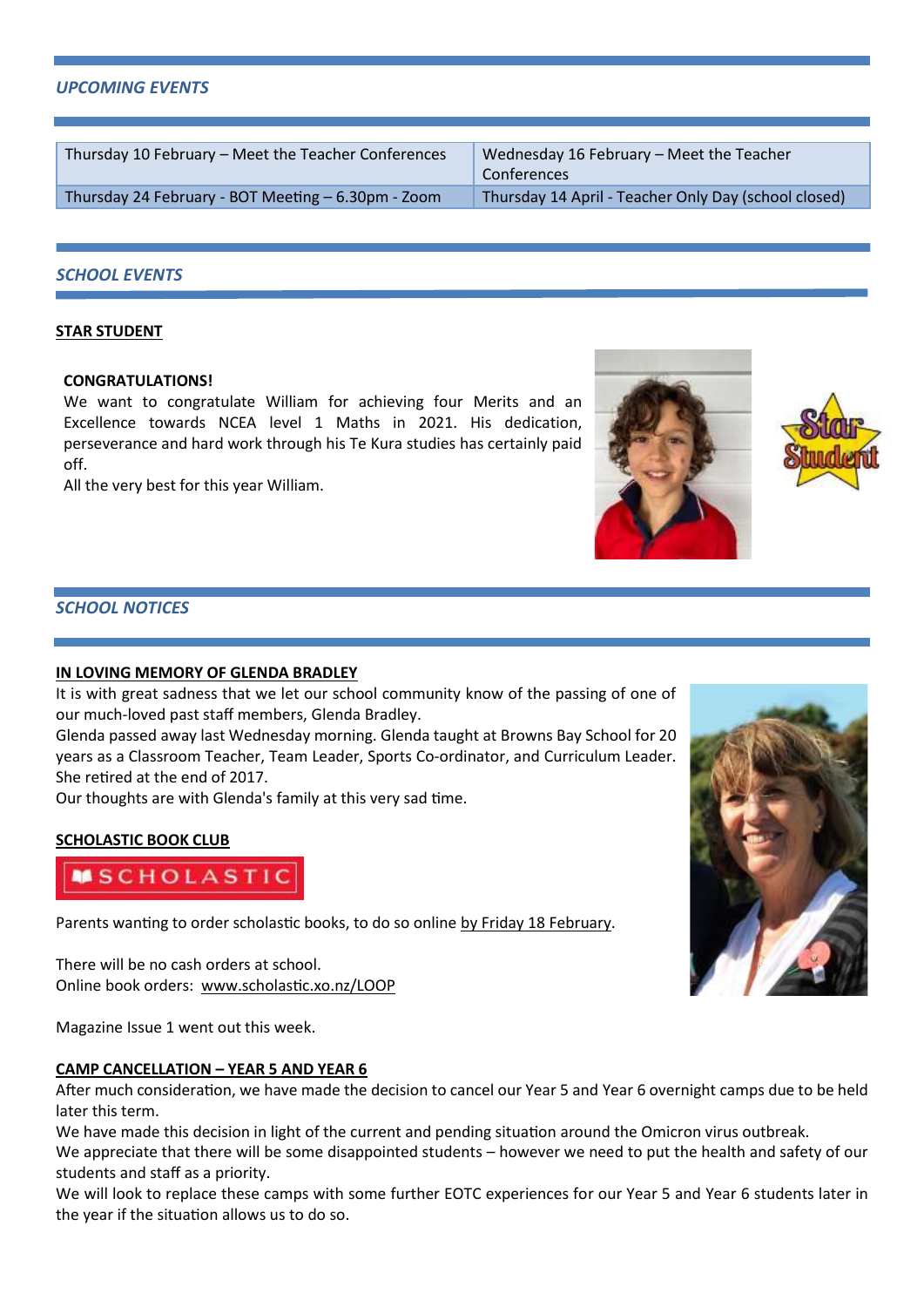#### *UPCOMING EVENTS*

Thursday 10 February – Meet the Teacher Conferences Wednesday 16 February – Meet the Teacher

Conferences Thursday 24 February - BOT Meeting – 6.30pm - Zoom Thursday 14 April - Teacher Only Day (school closed)

### *SCHOOL EVENTS*

#### **STAR STUDENT**

#### **CONGRATULATIONS!**

We want to congratulate William for achieving four Merits and an Excellence towards NCEA level 1 Maths in 2021. His dedication, perseverance and hard work through his Te Kura studies has certainly paid off.

All the very best for this year William.

## *SCHOOL NOTICES*

#### **IN LOVING MEMORY OF GLENDA BRADLEY**

It is with great sadness that we let our school community know of the passing of one of our much-loved past staff members, Glenda Bradley.

Glenda passed away last Wednesday morning. Glenda taught at Browns Bay School for 20 years as a Classroom Teacher, Team Leader, Sports Co-ordinator, and Curriculum Leader. She retired at the end of 2017.

Our thoughts are with Glenda's family at this very sad time.

# **SCHOLASTIC BOOK CLUB**



Parents wanting to order scholastic books, to do so online by Friday 18 February.

There will be no cash orders at school. Online book orders: [www.scholastic.xo.nz/LOOP](http://www.scholastic.xo.nz/LOOP)

Magazine Issue 1 went out this week.

#### **CAMP CANCELLATION – YEAR 5 AND YEAR 6**

After much consideration, we have made the decision to cancel our Year 5 and Year 6 overnight camps due to be held later this term.

We have made this decision in light of the current and pending situation around the Omicron virus outbreak.

We appreciate that there will be some disappointed students – however we need to put the health and safety of our students and staff as a priority.

We will look to replace these camps with some further EOTC experiences for our Year 5 and Year 6 students later in the year if the situation allows us to do so.



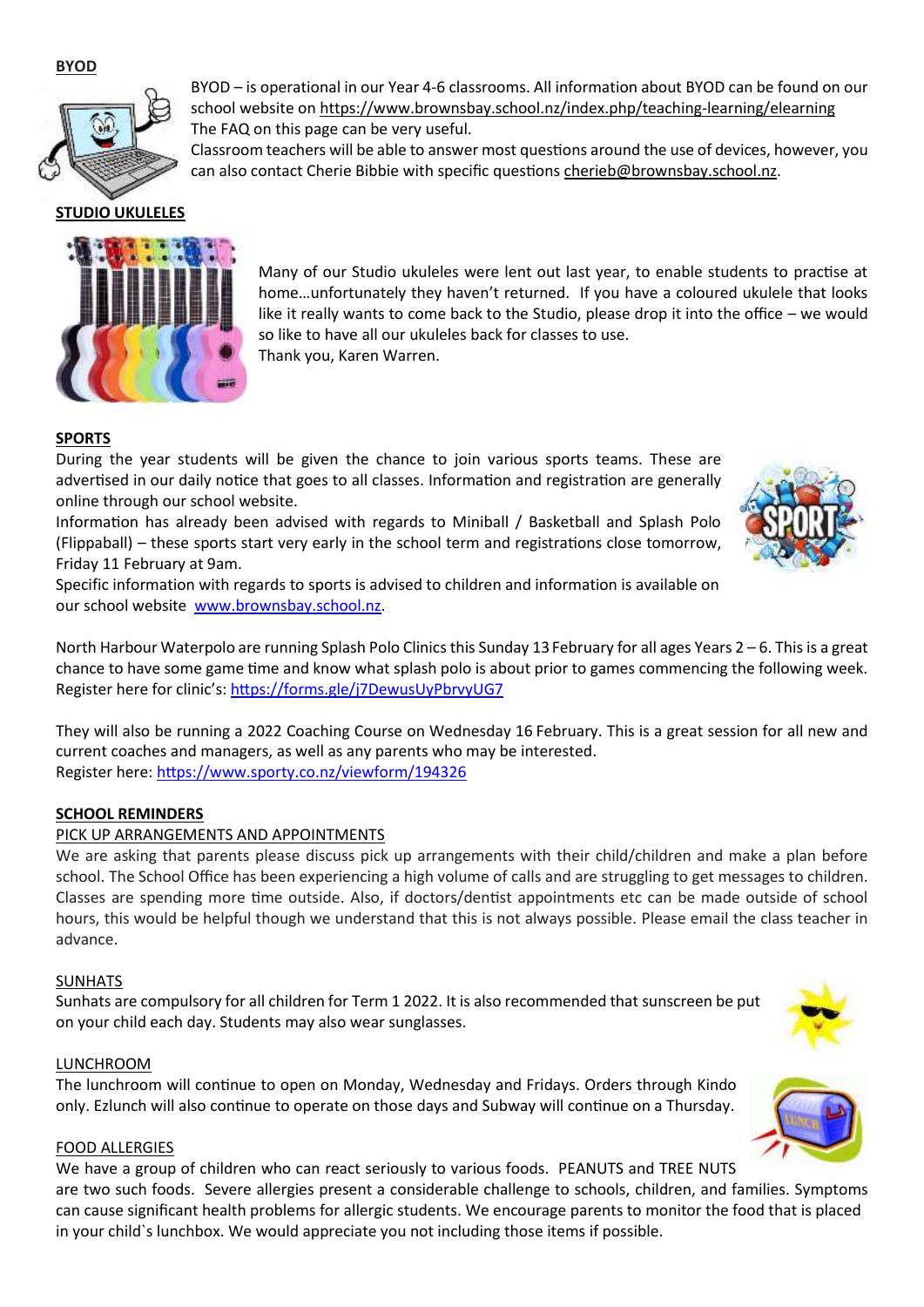**BYOD**



**STUDIO UKULELES**

BYOD – is operational in our Year 4-6 classrooms. All information about BYOD can be found on our school website on<https://www.brownsbay.school.nz/index.php/teaching-learning/elearning> The FAQ on this page can be very useful.

Classroom teachers will be able to answer most questions around the use of devices, however, you can also contact Cherie Bibbie with specific question[s cherieb@brownsbay.school.nz.](mailto:cherieb@brownsbay.school.nz)



Many of our Studio ukuleles were lent out last year, to enable students to practise at home…unfortunately they haven't returned. If you have a coloured ukulele that looks like it really wants to come back to the Studio, please drop it into the office – we would so like to have all our ukuleles back for classes to use. Thank you, Karen Warren.

# **SPORTS**

During the year students will be given the chance to join various sports teams. These are advertised in our daily notice that goes to all classes. Information and registration are generally online through our school website.

Information has already been advised with regards to Miniball / Basketball and Splash Polo (Flippaball) – these sports start very early in the school term and registrations close tomorrow, Friday 11 February at 9am.



North Harbour Waterpolo are running Splash Polo Clinics this Sunday 13 February for all ages Years  $2-6$ . This is a great chance to have some game time and know what splash polo is about prior to games commencing the following week. Register here for clinic's[: https://forms.gle/j7DewusUyPbrvyUG7](https://forms.gle/j7DewusUyPbrvyUG7)

They will also be running a 2022 Coaching Course on Wednesday 16 February. This is a great session for all new and current coaches and managers, as well as any parents who may be interested. Register here:<https://www.sporty.co.nz/viewform/194326>

# **SCHOOL REMINDERS**

# PICK UP ARRANGEMENTS AND APPOINTMENTS

We are asking that parents please discuss pick up arrangements with their child/children and make a plan before school. The School Office has been experiencing a high volume of calls and are struggling to get messages to children. Classes are spending more time outside. Also, if doctors/dentist appointments etc can be made outside of school hours, this would be helpful though we understand that this is not always possible. Please email the class teacher in advance.

# SUNHATS

Sunhats are compulsory for all children for Term 1 2022. It is also recommended that sunscreen be put on your child each day. Students may also wear sunglasses.

# LUNCHROOM

The lunchroom will continue to open on Monday, Wednesday and Fridays. Orders through Kindo only. Ezlunch will also continue to operate on those days and Subway will continue on a Thursday.

# FOOD ALLERGIES

We have a group of children who can react seriously to various foods. PEANUTS and TREE NUTS

are two such foods. Severe allergies present a considerable challenge to schools, children, and families. Symptoms can cause significant health problems for allergic students. We encourage parents to monitor the food that is placed in your child`s lunchbox. We would appreciate you not including those items if possible.





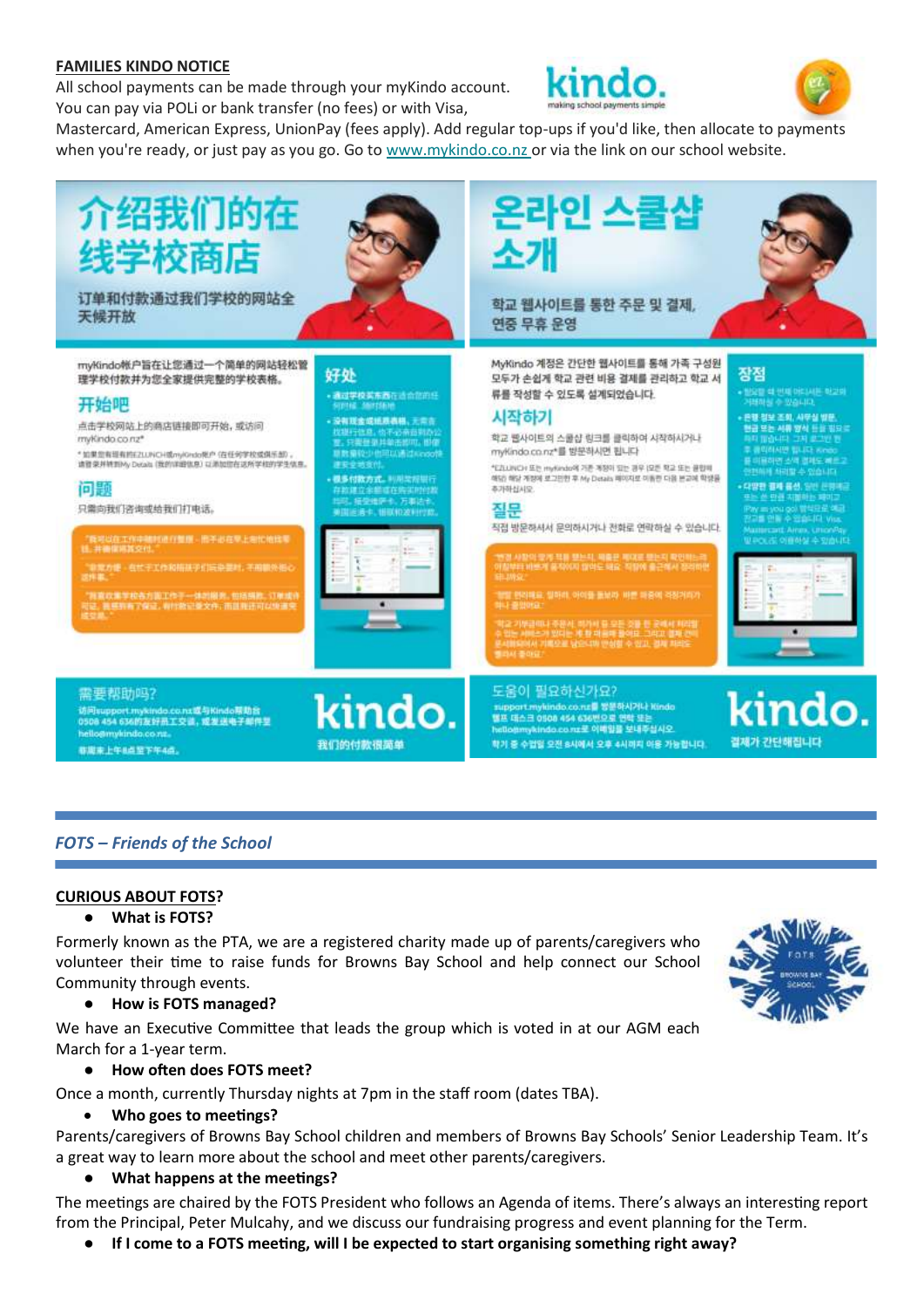#### **FAMILIES KINDO NOTICE**

All school payments can be made through your myKindo account. You can pay via POLi or bank transfer (no fees) or with Visa,





Mastercard, American Express, UnionPay (fees apply). Add regular top-ups if you'd like, then allocate to payments when you're ready, or just pay as you go. Go to [www.mykindo.co.nz o](https://kindo.us4.list-manage.com/track/click?u=06240eebfd36dec7bd46c5100&id=178b9f5d61&e=0d64d3b305)r via the link on our school website.



访问support.mykindo.co.nx或与Kindo帮助台<br>0508 454 636的友好员工交谈,或发送电子邮件型 helio@mykindo.co.nz 非周末上午8点至下午4点。



support.mylundo.co.ns를 뭉문하시거나 Kindo<br>별프 데스크 0500 454 636번으로 연락 또는<br>hellogmykindo.co.nz로 이백일을 보내주십시오. 학기 중 수업일 오전 8시에서 오후 4시까지 이용 가능합니다.



# *FOTS – Friends of the School*

#### **CURIOUS ABOUT FOTS?**

#### ● **What is FOTS?**

Formerly known as the PTA, we are a registered charity made up of parents/caregivers who volunteer their time to raise funds for Browns Bay School and help connect our School Community through events.

#### ● **How is FOTS managed?**

We have an Executive Committee that leads the group which is voted in at our AGM each March for a 1-year term.

#### ● **How often does FOTS meet?**

Once a month, currently Thursday nights at 7pm in the staff room (dates TBA).

# • **Who goes to meetings?**

Parents/caregivers of Browns Bay School children and members of Browns Bay Schools' Senior Leadership Team. It's a great way to learn more about the school and meet other parents/caregivers.

#### ● **What happens at the meetings?**

The meetings are chaired by the FOTS President who follows an Agenda of items. There's always an interesting report from the Principal, Peter Mulcahy, and we discuss our fundraising progress and event planning for the Term.

● **If I come to a FOTS meeting, will I be expected to start organising something right away?** 

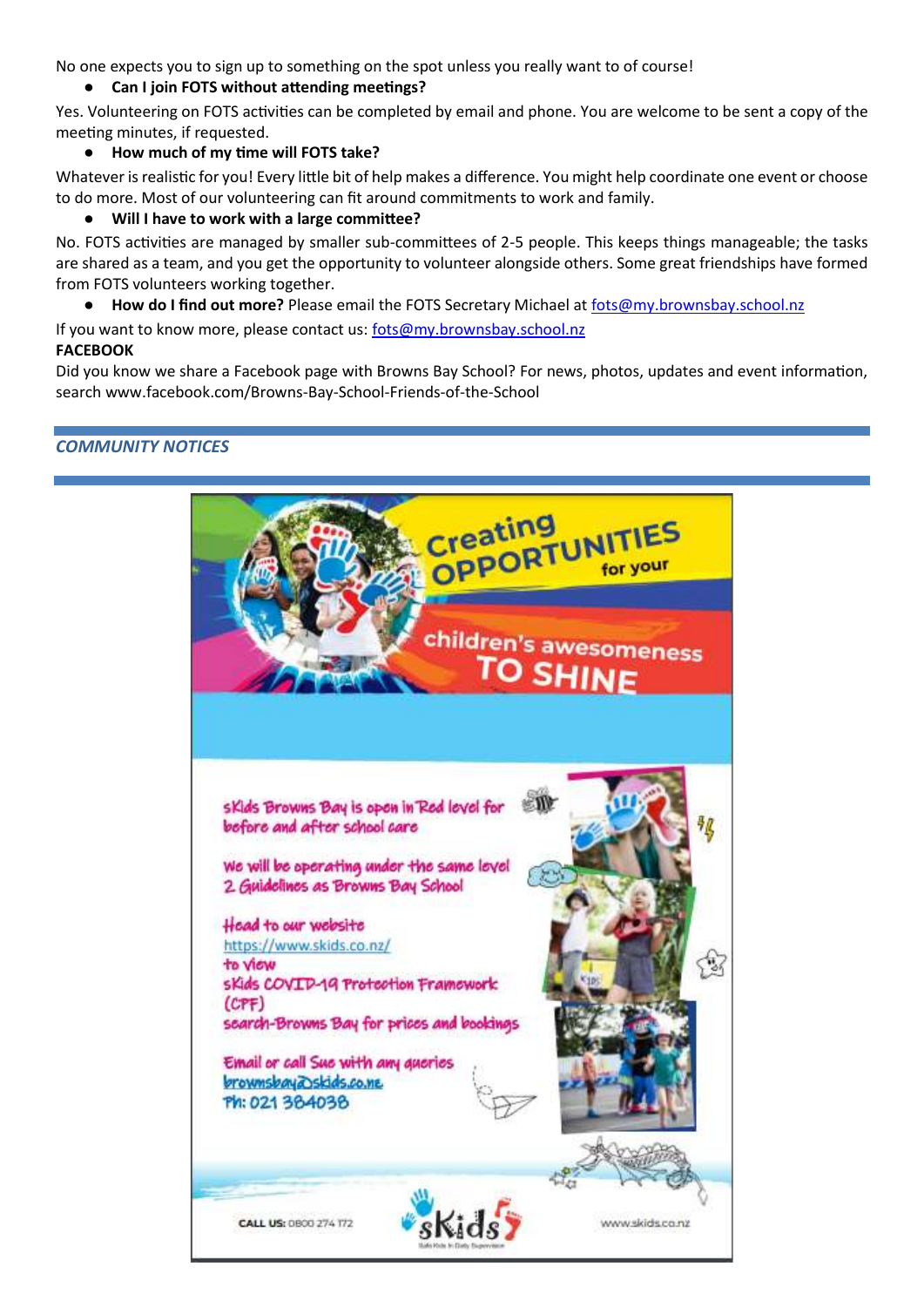No one expects you to sign up to something on the spot unless you really want to of course!

# ● **Can I join FOTS without attending meetings?**

Yes. Volunteering on FOTS activities can be completed by email and phone. You are welcome to be sent a copy of the meeting minutes, if requested.

# ● **How much of my time will FOTS take?**

Whatever is realistic for you! Every little bit of help makes a difference. You might help coordinate one event or choose to do more. Most of our volunteering can fit around commitments to work and family.

# ● **Will I have to work with a large committee?**

No. FOTS activities are managed by smaller sub-committees of 2-5 people. This keeps things manageable; the tasks are shared as a team, and you get the opportunity to volunteer alongside others. Some great friendships have formed from FOTS volunteers working together.

● **How do I find out more?** Please email the FOTS Secretary Michael at [fots@my.brownsbay.school.nz](mailto:fots@my.brownsbay.school.nz)

If you want to know more, please contact us[: fots@my.brownsbay.school.nz](mailto:fots@my.brownsbay.school.nz)

# **FACEBOOK**

Did you know we share a Facebook page with Browns Bay School? For news, photos, updates and event information, search www.facebook.com/Browns-Bay-School-Friends-of-the-School

# *COMMUNITY NOTICES*